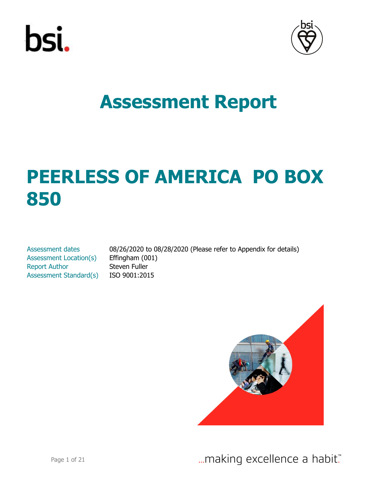



# **PEERLESS OF AMERICA PO BOX 850**

Assessment Location(s) Effingham (001) Report Author Steven Fuller Assessment Standard(s) ISO 9001:2015

Assessment dates 08/26/2020 to 08/28/2020 (Please refer to Appendix for details)

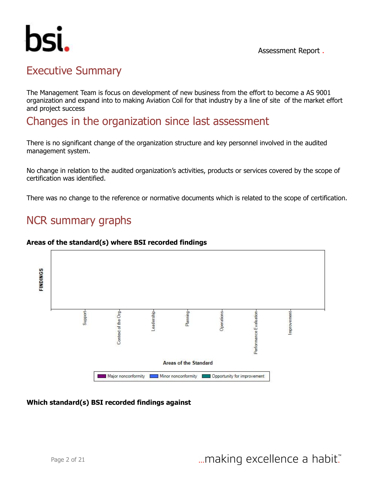

# Executive Summary

The Management Team is focus on development of new business from the effort to become a AS 9001 organization and expand into to making Aviation Coil for that industry by a line of site of the market effort and project success

Changes in the organization since last assessment

There is no significant change of the organization structure and key personnel involved in the audited management system.

No change in relation to the audited organization's activities, products or services covered by the scope of certification was identified.

There was no change to the reference or normative documents which is related to the scope of certification.

# NCR summary graphs

#### **Areas of the standard(s) where BSI recorded findings**



#### **Which standard(s) BSI recorded findings against**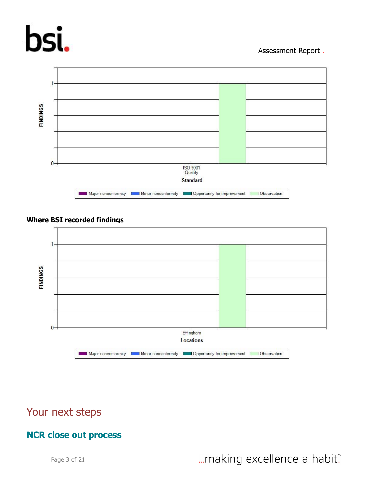# bsi.

#### Assessment Report .



#### **Where BSI recorded findings**



# Your next steps

#### **NCR close out process**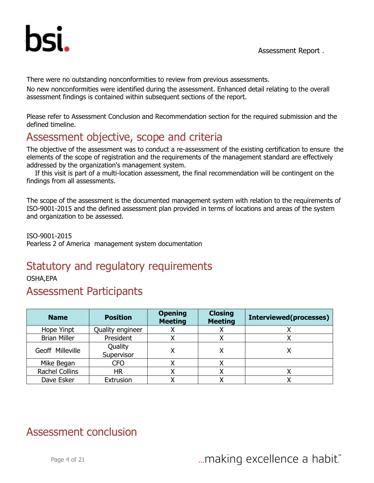

There were no outstanding nonconformities to review from previous assessments.

No new nonconformities were identified during the assessment. Enhanced detail relating to the overall assessment findings is contained within subsequent sections of the report.

Please refer to Assessment Conclusion and Recommendation section for the required submission and the defined timeline.

# Assessment objective, scope and criteria

The objective of the assessment was to conduct a re-assessment of the existing certification to ensure the elements of the scope of registration and the requirements of the management standard are effectively addressed by the organization's management system.

 If this visit is part of a multi-location assessment, the final recommendation will be contingent on the findings from all assessments.

The scope of the assessment is the documented management system with relation to the requirements of ISO-9001-2015 and the defined assessment plan provided in terms of locations and areas of the system and organization to be assessed.

ISO-9001-2015 Pearless 2 of America management system documentation

# Statutory and regulatory requirements

OSHA,EPA

### Assessment Participants

| <b>Name</b>           | <b>Position</b>       | <b>Opening</b><br><b>Meeting</b> | <b>Closing</b><br><b>Meeting</b> | <b>Interviewed(processes)</b> |
|-----------------------|-----------------------|----------------------------------|----------------------------------|-------------------------------|
| Hope Yinpt            | Quality engineer      |                                  |                                  |                               |
| <b>Brian Miller</b>   | President             |                                  |                                  |                               |
| Geoff Milleville      | Quality<br>Supervisor |                                  |                                  |                               |
| Mike Began            | <b>CFO</b>            |                                  |                                  |                               |
| <b>Rachel Collins</b> | НR                    |                                  |                                  |                               |
| Dave Esker            | Extrusion             |                                  |                                  |                               |

# Assessment conclusion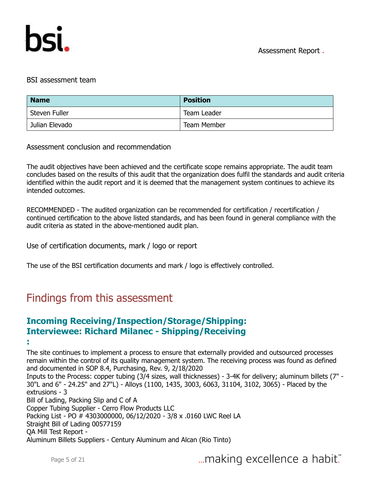

#### BSI assessment team

| <b>Name</b>    | <b>Position</b>    |
|----------------|--------------------|
| Steven Fuller  | Team Leader        |
| Julian Elevado | <b>Team Member</b> |

Assessment conclusion and recommendation

The audit objectives have been achieved and the certificate scope remains appropriate. The audit team concludes based on the results of this audit that the organization does fulfil the standards and audit criteria identified within the audit report and it is deemed that the management system continues to achieve its intended outcomes.

RECOMMENDED - The audited organization can be recommended for certification / recertification / continued certification to the above listed standards, and has been found in general compliance with the audit criteria as stated in the above-mentioned audit plan.

Use of certification documents, mark / logo or report

The use of the BSI certification documents and mark / logo is effectively controlled.

# Findings from this assessment

#### **Incoming Receiving/Inspection/Storage/Shipping: Interviewee: Richard Milanec - Shipping/Receiving**

**:**

The site continues to implement a process to ensure that externally provided and outsourced processes remain within the control of its quality management system. The receiving process was found as defined and documented in SOP 8.4, Purchasing, Rev. 9, 2/18/2020

Inputs to the Process: copper tubing (3/4 sizes, wall thicknesses) - 3-4K for delivery; aluminum billets (7" - 30"L and 6" - 24.25" and 27"L) - Alloys (1100, 1435, 3003, 6063, 31104, 3102, 3065) - Placed by the extrusions - 3

Bill of Lading, Packing Slip and C of A

Copper Tubing Supplier - Cerro Flow Products LLC

Packing List - PO # 4303000000, 06/12/2020 - 3/8 x .0160 LWC Reel LA

Straight Bill of Lading 00577159

QA Mill Test Report -

Aluminum Billets Suppliers - Century Aluminum and Alcan (Rio Tinto)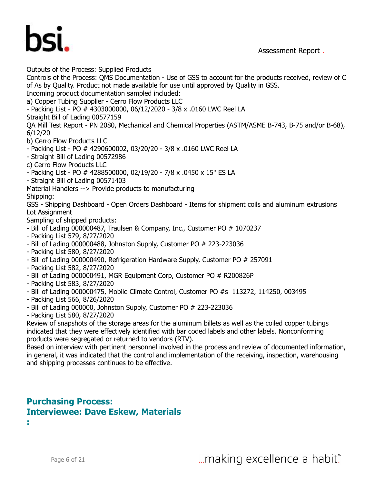

Outputs of the Process: Supplied Products

Controls of the Process: QMS Documentation - Use of GSS to account for the products received, review of C of As by Quality. Product not made available for use until approved by Quality in GSS.

Incoming product documentation sampled included:

a) Copper Tubing Supplier - Cerro Flow Products LLC

- Packing List - PO # 4303000000, 06/12/2020 - 3/8 x .0160 LWC Reel LA

Straight Bill of Lading 00577159

QA Mill Test Report - PN 2080, Mechanical and Chemical Properties (ASTM/ASME B-743, B-75 and/or B-68), 6/12/20

b) Cerro Flow Products LLC

- Packing List - PO # 4290600002, 03/20/20 - 3/8 x .0160 LWC Reel LA

- Straight Bill of Lading 00572986
- c) Cerro Flow Products LLC
- Packing List PO # 4288500000, 02/19/20 7/8 x .0450 x 15" ES LA
- Straight Bill of Lading 00571403

Material Handlers --> Provide products to manufacturing Shipping:

GSS - Shipping Dashboard - Open Orders Dashboard - Items for shipment coils and aluminum extrusions Lot Assignment

Sampling of shipped products:

- Bill of Lading 000000487, Traulsen & Company, Inc., Customer PO # 1070237

- Packing List 579, 8/27/2020
- Bill of Lading 000000488, Johnston Supply, Customer PO # 223-223036
- Packing List 580, 8/27/2020
- Bill of Lading 000000490, Refrigeration Hardware Supply, Customer PO # 257091
- Packing List 582, 8/27/2020
- Bill of Lading 000000491, MGR Equipment Corp, Customer PO # R200826P
- Packing List 583, 8/27/2020
- Bill of Lading 000000475, Mobile Climate Control, Customer PO #s 113272, 114250, 003495
- Packing List 566, 8/26/2020
- Bill of Lading 000000, Johnston Supply, Customer PO # 223-223036
- Packing List 580, 8/27/2020

Review of snapshots of the storage areas for the aluminum billets as well as the coiled copper tubings indicated that they were effectively identified with bar coded labels and other labels. Nonconforming products were segregated or returned to vendors (RTV).

Based on interview with pertinent personnel involved in the process and review of documented information, in general, it was indicated that the control and implementation of the receiving, inspection, warehousing and shipping processes continues to be effective.

#### **Purchasing Process: Interviewee: Dave Eskew, Materials**

**:**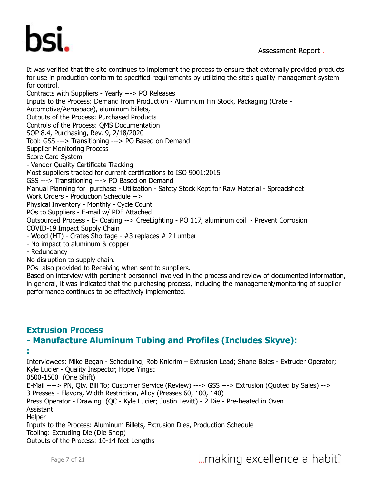

It was verified that the site continues to implement the process to ensure that externally provided products for use in production conform to specified requirements by utilizing the site's quality management system for control.

Contracts with Suppliers - Yearly ---> PO Releases Inputs to the Process: Demand from Production - Aluminum Fin Stock, Packaging (Crate - Automotive/Aerospace), aluminum billets, Outputs of the Process: Purchased Products Controls of the Process: QMS Documentation SOP 8.4, Purchasing, Rev. 9, 2/18/2020 Tool: GSS ---> Transitioning ---> PO Based on Demand Supplier Monitoring Process Score Card System - Vendor Quality Certificate Tracking Most suppliers tracked for current certifications to ISO 9001:2015 GSS ---> Transitioning ---> PO Based on Demand Manual Planning for purchase - Utilization - Safety Stock Kept for Raw Material - Spreadsheet Work Orders - Production Schedule --> Physical Inventory - Monthly - Cycle Count POs to Suppliers - E-mail w/ PDF Attached Outsourced Process - E- Coating --> CreeLighting - PO 117, aluminum coil - Prevent Corrosion COVID-19 Impact Supply Chain - Wood (HT) - Crates Shortage - #3 replaces # 2 Lumber - No impact to aluminum & copper - Redundancy

No disruption to supply chain.

POs also provided to Receiving when sent to suppliers.

Based on interview with pertinent personnel involved in the process and review of documented information, in general, it was indicated that the purchasing process, including the management/monitoring of supplier performance continues to be effectively implemented.

#### **Extrusion Process - Manufacture Aluminum Tubing and Profiles (Includes Skyve):**

**:**

Interviewees: Mike Began - Scheduling; Rob Knierim – Extrusion Lead; Shane Bales - Extruder Operator; Kyle Lucier - Quality Inspector, Hope Yingst 0500-1500 (One Shift) E-Mail ----> PN, Qty, Bill To; Customer Service (Review) ---> GSS ---> Extrusion (Quoted by Sales) --> 3 Presses - Flavors, Width Restriction, Alloy (Presses 60, 100, 140) Press Operator - Drawing (QC - Kyle Lucier; Justin Levitt) - 2 Die - Pre-heated in Oven Assistant **Helper** Inputs to the Process: Aluminum Billets, Extrusion Dies, Production Schedule Tooling: Extruding Die (Die Shop) Outputs of the Process: 10-14 feet Lengths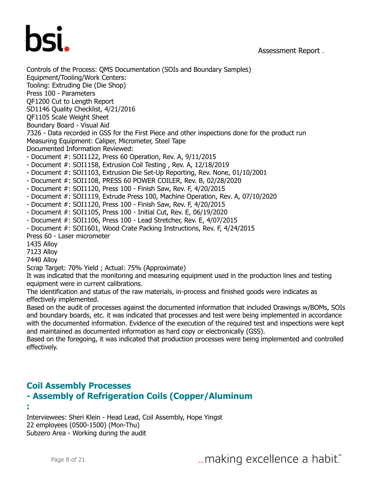



Controls of the Process: QMS Documentation (SOIs and Boundary Samples) Equipment/Tooling/Work Centers: Tooling: Extruding Die (Die Shop) Press 100 - Parameters QF1200 Cut to Length Report SD1146 Quality Checklist, 4/21/2016 QF1105 Scale Weight Sheet Boundary Board - Visual Aid 7326 - Data recorded in GSS for the First Piece and other inspections done for the product run Measuring Equipment: Caliper, Micrometer, Steel Tape Documented Information Reviewed: - Document #: SOI1122, Press 60 Operation, Rev. A, 9/11/2015 - Document #: SOI1158, Extrusion Coil Testing , Rev. A, 12/18/2019 - Document #: SOI1103, Extrusion Die Set-Up Reporting, Rev. None, 01/10/2001 - Document #: SOI1108, PRESS 60 POWER COILER, Rev. B, 02/28/2020 - Document #: SOI1120, Press 100 - Finish Saw, Rev. F, 4/20/2015 - Document #: SOI1119, Extrude Press 100, Machine Operation, Rev. A, 07/10/2020 - Document #: SOI1120, Press 100 - Finish Saw, Rev. F, 4/20/2015 - Document #: SOI1105, Press 100 - Initial Cut, Rev. E, 06/19/2020 - Document #: SOI1106, Press 100 - Lead Stretcher, Rev. E, 4/07/2015 - Document #: SOI1601, Wood Crate Packing Instructions, Rev. F, 4/24/2015 Press 60 - Laser micrometer 1435 Alloy 7123 Alloy 7440 Alloy Scrap Target: 70% Yield ; Actual: 75% (Approximate) It was indicated that the monitoring and measuring equipment used in the production lines and testing equipment were in current calibrations. The identification and status of the raw materials, in-process and finished goods were indicates as effectively implemented. Based on the audit of processes against the documented information that included Drawings w/BOMs, SOIs

and boundary boards, etc. it was indicated that processes and test were being implemented in accordance with the documented information. Evidence of the execution of the required test and inspections were kept and maintained as documented information as hard copy or electronically (GSS).

Based on the foregoing, it was indicated that production processes were being implemented and controlled effectively.

#### **Coil Assembly Processes - Assembly of Refrigeration Coils (Copper/Aluminum**

**:**

Interviewees: Sheri Klein - Head Lead, Coil Assembly, Hope Yingst 22 employees (0500-1500) (Mon-Thu) Subzero Area - Working during the audit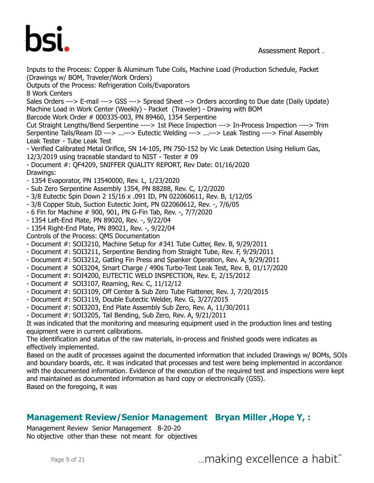# hsi

Assessment Report .

Inputs to the Process: Copper & Aluminum Tube Coils, Machine Load (Production Schedule, Packet (Drawings w/ BOM, Traveler/Work Orders) Outputs of the Process: Refrigeration Coils/Evaporators 8 Work Centers Sales Orders ---> E-mail ---> GSS ---> Spread Sheet --> Orders according to Due date (Daily Update) Machine Load in Work Center (Weekly) - Packet (Traveler) - Drawing with BOM Barcode Work Order # 000335-003, PN 89460, 1354 Serpentine Cut Straight Lengths/Bend Serpentine ----> 1st Piece Inspection ---> In-Process Inspection ----> Trim Serpentine Tails/Ream ID ---> ...---> Eutectic Welding ---> ...---> Leak Testing ----> Final Assembly Leak Tester - Tube Leak Test - Verified Calibrated Metal Orifice, SN 14-105, PN 750-152 by Vic Leak Detection Using Helium Gas, 12/3/2019 using traceable standard to NIST - Tester # 09 - Document #: QF4209, SNIFFER QUALITY REPORT, Rev Date: 01/16/2020 Drawings: - 1354 Evaporator, PN 13540000, Rev. L, 1/23/2020 - Sub Zero Serpentine Assembly 1354, PN 88288, Rev. C, 1/2/2020 - 3/8 Eutectic Spin Down 2 15/16 x .091 ID, PN 022060611, Rev. B, 1/12/05 - 3/8 Copper Stub, Suction Eutectic Joint, PN 022060612, Rev. -, 7/6/05 - 6 Fin for Machine # 900, 901, PN G-Fin Tab, Rev. -, 7/7/2020 - 1354 Left-End Plate, PN 89020, Rev. -, 9/22/04 - 1354 Right-End Plate, PN 89021, Rev. -, 9/22/04 Controls of the Process: QMS Documentation - Document #: SOI3210, Machine Setup for #341 Tube Cutter, Rev. B, 9/29/2011 - Document #: SOI3211, Serpentine Bending from Straight Tube, Rev. F, 9/29/2011 - Document #: SOI3212, Gatling Fin Press and Spanker Operation, Rev. A, 9/29/2011 - Document # SOI3204, Smart Charge / 490s Turbo-Test Leak Test, Rev. B, 01/17/2020 - Document #: SOI4200, EUTECTIC WELD INSPECTION, Rev. E, 2/15/2012 - Document # SOI3107, Reaming, Rev. C, 11/12/12 - Document #: SOI3109, Off Center & Sub Zero Tube Flattener, Rev. J, 7/20/2015 - Document #: SOI3119, Double Eutectic Welder, Rev. G, 3/27/2015 - Document #: SOI3203, End Plate Assembly Sub Zero, Rev. A, 11/30/2011 - Document #: SOI3205, Tail Bending, Sub Zero, Rev. A, 9/21/2011 It was indicated that the monitoring and measuring equipment used in the production lines and testing equipment were in current calibrations. The identification and status of the raw materials, in-process and finished goods were indicates as effectively implemented. Based on the audit of processes against the documented information that included Drawings w/ BOMs, SOIs and boundary boards, etc. it was indicated that processes and test were being implemented in accordance with the documented information. Evidence of the execution of the required test and inspections were kept and maintained as documented information as hard copy or electronically (GSS). Based on the foregoing, it was **Management Review/Senior Management Bryan Miller ,Hope Y, :**

Management Review Senior Management 8-20-20 No objective other than these not meant for objectives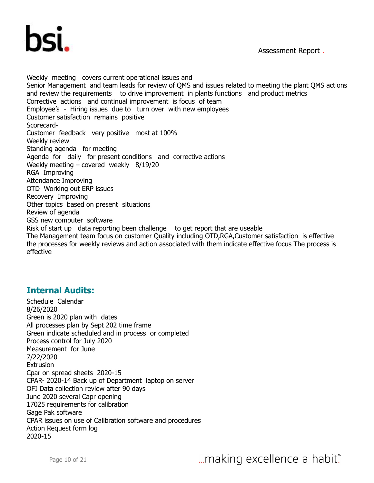

Weekly meeting covers current operational issues and Senior Management and team leads for review of QMS and issues related to meeting the plant QMS actions and review the requirements to drive improvement in plants functions and product metrics Corrective actions and continual improvement is focus of team Employee's - Hiring issues due to turn over with new employees Customer satisfaction remains positive Scorecard-Customer feedback very positive most at 100% Weekly review Standing agenda for meeting Agenda for daily for present conditions and corrective actions Weekly meeting – covered weekly 8/19/20 RGA Improving Attendance Improving OTD Working out ERP issues Recovery Improving Other topics based on present situations Review of agenda GSS new computer software Risk of start up data reporting been challenge to get report that are useable The Management team focus on customer Quality including OTD,RGA,Customer satisfaction is effective the processes for weekly reviews and action associated with them indicate effective focus The process is effective

#### **Internal Audits:**

Schedule Calendar 8/26/2020 Green is 2020 plan with dates All processes plan by Sept 202 time frame Green indicate scheduled and in process or completed Process control for July 2020 Measurement for June 7/22/2020 **Extrusion** Cpar on spread sheets 2020-15 CPAR- 2020-14 Back up of Department laptop on server OFI Data collection review after 90 days June 2020 several Capr opening 17025 requirements for calibration Gage Pak software CPAR issues on use of Calibration software and procedures Action Request form log 2020-15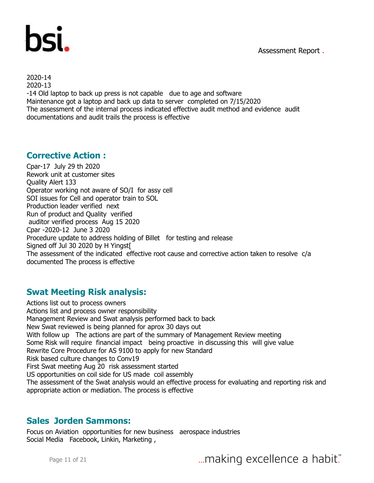



2020-14 2020-13 -14 Old laptop to back up press is not capable due to age and software Maintenance got a laptop and back up data to server completed on 7/15/2020 The assessment of the internal process indicated effective audit method and evidence audit documentations and audit trails the process is effective

#### **Corrective Action :**

Cpar-17 July 29 th 2020 Rework unit at customer sites Quality Alert 133 Operator working not aware of SO/I for assy cell SOI issues for Cell and operator train to SOL Production leader verified next Run of product and Quality verified auditor verified process Aug 15 2020 Cpar -2020-12 June 3 2020 Procedure update to address holding of Billet for testing and release Signed off Jul 30 2020 by H Yingst[ The assessment of the indicated effective root cause and corrective action taken to resolve c/a documented The process is effective

#### **Swat Meeting Risk analysis:**

Actions list out to process owners Actions list and process owner responsibility Management Review and Swat analysis performed back to back New Swat reviewed is being planned for aprox 30 days out With follow up The actions are part of the summary of Management Review meeting Some Risk will require financial impact being proactive in discussing this will give value Rewrite Core Procedure for AS 9100 to apply for new Standard Risk based culture changes to Conv19 First Swat meeting Aug 20 risk assessment started US opportunities on coil side for US made coil assembly The assessment of the Swat analysis would an effective process for evaluating and reporting risk and appropriate action or mediation. The process is effective

#### **Sales Jorden Sammons:**

Focus on Aviation opportunities for new business aerospace industries Social Media Facebook, Linkin, Marketing ,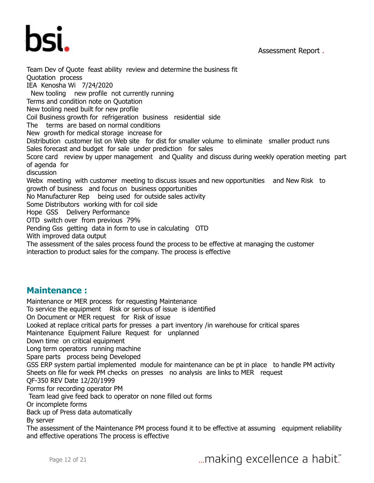



Team Dev of Quote feast ability review and determine the business fit Quotation process IEA Kenosha Wi 7/24/2020 New tooling new profile not currently running Terms and condition note on Quotation New tooling need built for new profile Coil Business growth for refrigeration business residential side The terms are based on normal conditions New growth for medical storage increase for Distribution customer list on Web site for dist for smaller volume to eliminate smaller product runs Sales forecast and budget for sale under prediction for sales Score card review by upper management and Quality and discuss during weekly operation meeting part of agenda for discussion Webx meeting with customer meeting to discuss issues and new opportunities and New Risk to growth of business and focus on business opportunities No Manufacturer Rep being used for outside sales activity Some Distributors working with for coil side Hope GSS Delivery Performance OTD switch over from previous 79% Pending Gss getting data in form to use in calculating OTD With improved data output The assessment of the sales process found the process to be effective at managing the customer interaction to product sales for the company. The process is effective

#### **Maintenance :**

Maintenance or MER process for requesting Maintenance To service the equipment Risk or serious of issue is identified On Document or MER request for Risk of issue Looked at replace critical parts for presses a part inventory /in warehouse for critical spares Maintenance Equipment Failure Request for unplanned Down time on critical equipment Long term operators running machine Spare parts process being Developed GSS ERP system partial implemented module for maintenance can be pt in place to handle PM activity Sheets on file for week PM checks on presses no analysis are links to MER request QF-350 REV Date 12/20/1999 Forms for recording operator PM Team lead give feed back to operator on none filled out forms Or incomplete forms Back up of Press data automatically By server The assessment of the Maintenance PM process found it to be effective at assuming equipment reliability and effective operations The process is effective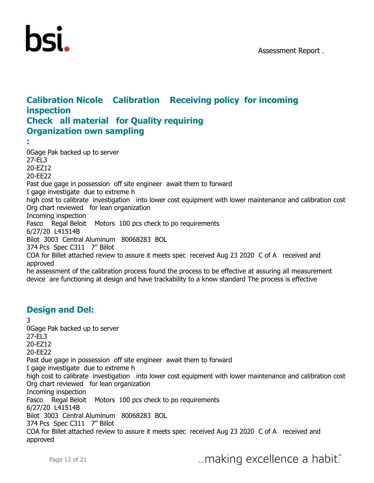

#### **Calibration Nicole Calibration Receiving policy for incoming inspection Check all material for Quality requiring Organization own sampling**

**:** 0Gage Pak backed up to server 27-EL3 20-EZ12 20-EE22 Past due gage in possession off site engineer await them to forward I gage investigate due to extreme h high cost to calibrate investigation into lower cost equipment with lower maintenance and calibration cost Org chart reviewed for lean organization Incoming inspection Fasco Regal Beloit Motors 100 pcs check to po requirements 6/27/20 L41514B Bilot 3003 Central Aluminum 80068283 BOL 374 Pcs Spec C311 7" Billot COA for Billet attached review to assure it meets spec received Aug 23 2020 C of A received and approved he assessment of the calibration process found the process to be effective at assuring all measurement device are functioning at design and have trackability to a know standard The process is effective

#### **Design and Del:**

3 0Gage Pak backed up to server 27-EL3 20-EZ12 20-EE22 Past due gage in possession off site engineer await them to forward I gage investigate due to extreme h high cost to calibrate investigation into lower cost equipment with lower maintenance and calibration cost Org chart reviewed for lean organization Incoming inspection Fasco Regal Beloit Motors 100 pcs check to po requirements 6/27/20 L41514B Bilot 3003 Central Aluminum 80068283 BOL 374 Pcs Spec C311 7" Billot COA for Billet attached review to assure it meets spec received Aug 23 2020 C of A received and approved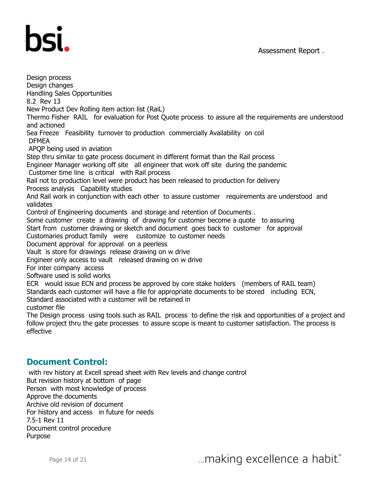

Design process Design changes Handling Sales Opportunities 8.2 Rev 13 New Product Dev Rolling item action list (RaiL) Thermo Fisher RAIL for evaluation for Post Quote process to assure all the requirements are understood and actioned Sea Freeze Feasibility turnover to production commercially Availability on coil DFMEA APQP being used in aviation Step thru similar to gate process document in different format than the Rail process Engineer Manager working off site all engineer that work off site during the pandemic Customer time line is critical with Rail process Rail not to production level were product has been released to production for delivery Process analysis Capability studies And Rail work in conjunction with each other to assure customer requirements are understood and validates Control of Engineering documents and storage and retention of Documents . Some customer create a drawing of drawing for customer become a quote to assuring Start from customer drawing or sketch and document goes back to customer for approval Customaries product family were customize to customer needs Document approval for approval on a peerless Vault is store for drawings release drawing on w drive Engineer only access to vault released drawing on w drive For inter company access Software used is solid works ECR would issue ECN and process be approved by core stake holders (members of RAIL team) Standards each customer will have a file for appropriate documents to be stored including ECN, Standard associated with a customer will be retained in customer file The Design process using tools such as RAIL process to define the risk and opportunities of a project and follow project thru the gate processes to assure scope is meant to customer satisfaction. The process is effective

#### **Document Control:**

 with rev history at Excell spread sheet with Rev levels and change control But revision history at bottom of page Person with most knowledge of process Approve the documents Archive old revision of document For history and access in future for needs 7.5-1 Rev 11 Document control procedure Purpose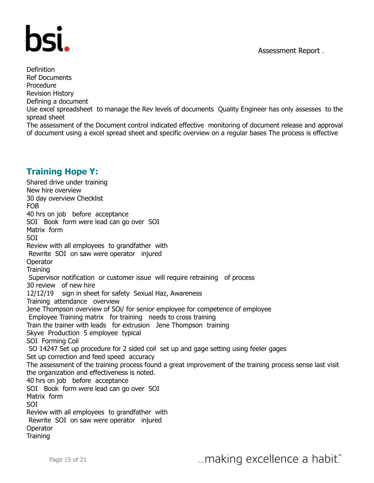

Definition Ref Documents Procedure Revision History Defining a document Use excel spreadsheet to manage the Rev levels of documents Quality Engineer has only assesses to the spread sheet The assessment of the Document control indicated effective monitoring of document release and approval of document using a excel spread sheet and specific overview on a regular bases The process is effective

#### **Training Hope Y:**

Shared drive under training New hire overview 30 day overview Checklist FOB 40 hrs on job before acceptance SOI Book form were lead can go over SOI Matrix form SOI Review with all employees to grandfather with Rewrite SOI on saw were operator injured **Operator Training** Supervisor notification or customer issue will require retraining of process 30 review of new hire 12/12/19 sign in sheet for safety Sexual Haz, Awareness Training attendance overview Jene Thompson overview of SOi/ for senior employee for competence of employee Employee Training matrix for training needs to cross training Train the trainer with leads for extrusion Jene Thompson training Skyve Production 5 employee typical SOI Forming Coil SO 14247 Set up procedure for 2 sided coil set up and gage setting using feeler gages Set up correction and feed speed accuracy The assessment of the training process found a great improvement of the training process sense last visit the organization and effectiveness is noted. 40 hrs on job before acceptance SOI Book form were lead can go over SOI Matrix form SOI Review with all employees to grandfather with Rewrite SOI on saw were operator injured **Operator Training**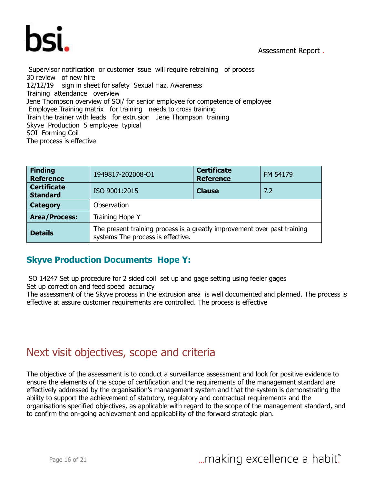

Supervisor notification or customer issue will require retraining of process 30 review of new hire 12/12/19 sign in sheet for safety Sexual Haz, Awareness Training attendance overview Jene Thompson overview of SOi/ for senior employee for competence of employee Employee Training matrix for training needs to cross training Train the trainer with leads for extrusion Jene Thompson training Skyve Production 5 employee typical SOI Forming Coil The process is effective

| <b>Finding</b><br><b>Reference</b>    | 1949817-202008-O1                                                                                             | <b>Certificate</b><br><b>Reference</b> | FM 54179 |  |  |  |
|---------------------------------------|---------------------------------------------------------------------------------------------------------------|----------------------------------------|----------|--|--|--|
| <b>Certificate</b><br><b>Standard</b> | ISO 9001:2015                                                                                                 | <b>Clause</b>                          | 7.2      |  |  |  |
| <b>Category</b>                       | Observation                                                                                                   |                                        |          |  |  |  |
| <b>Area/Process:</b>                  | Training Hope Y                                                                                               |                                        |          |  |  |  |
| <b>Details</b>                        | The present training process is a greatly improvement over past training<br>systems The process is effective. |                                        |          |  |  |  |

#### **Skyve Production Documents Hope Y:**

 SO 14247 Set up procedure for 2 sided coil set up and gage setting using feeler gages Set up correction and feed speed accuracy

The assessment of the Skyve process in the extrusion area is well documented and planned. The process is effective at assure customer requirements are controlled. The process is effective

### Next visit objectives, scope and criteria

The objective of the assessment is to conduct a surveillance assessment and look for positive evidence to ensure the elements of the scope of certification and the requirements of the management standard are effectively addressed by the organisation's management system and that the system is demonstrating the ability to support the achievement of statutory, regulatory and contractual requirements and the organisations specified objectives, as applicable with regard to the scope of the management standard, and to confirm the on-going achievement and applicability of the forward strategic plan.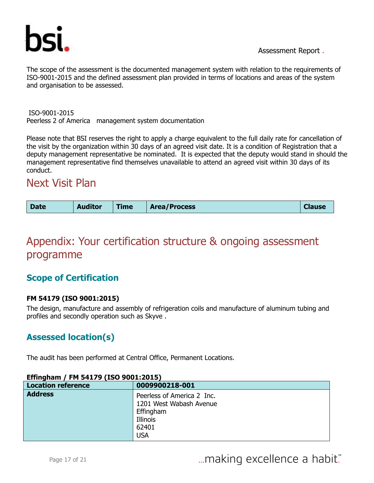

The scope of the assessment is the documented management system with relation to the requirements of ISO-9001-2015 and the defined assessment plan provided in terms of locations and areas of the system and organisation to be assessed.

 ISO-9001-2015 Peerless 2 of America management system documentation

Please note that BSI reserves the right to apply a charge equivalent to the full daily rate for cancellation of the visit by the organization within 30 days of an agreed visit date. It is a condition of Registration that a deputy management representative be nominated. It is expected that the deputy would stand in should the management representative find themselves unavailable to attend an agreed visit within 30 days of its conduct.

### Next Visit Plan

| <b>Date</b> | <b>Auditor</b> | Гіme | <b>Area/Process</b> | <b>Clause</b> |
|-------------|----------------|------|---------------------|---------------|
|-------------|----------------|------|---------------------|---------------|

# Appendix: Your certification structure & ongoing assessment programme

#### **Scope of Certification**

#### **FM 54179 (ISO 9001:2015)**

The design, manufacture and assembly of refrigeration coils and manufacture of aluminum tubing and profiles and secondly operation such as Skyve .

#### **Assessed location(s)**

The audit has been performed at Central Office, Permanent Locations.

| <u>LIIIIIqiidiii / 1 11 JTI/J (190 JUUI:2019)</u> |                                                       |  |  |  |  |
|---------------------------------------------------|-------------------------------------------------------|--|--|--|--|
| <b>Location reference</b>                         | 0009900218-001                                        |  |  |  |  |
| <b>Address</b>                                    | Peerless of America 2 Inc.<br>1201 West Wabash Avenue |  |  |  |  |
|                                                   |                                                       |  |  |  |  |
|                                                   | Effingham                                             |  |  |  |  |
|                                                   | Illinois                                              |  |  |  |  |
|                                                   | 62401                                                 |  |  |  |  |
|                                                   | <b>USA</b>                                            |  |  |  |  |

#### **Effingham / FM 54179 (ISO 9001:2015)**

Page 17 of 21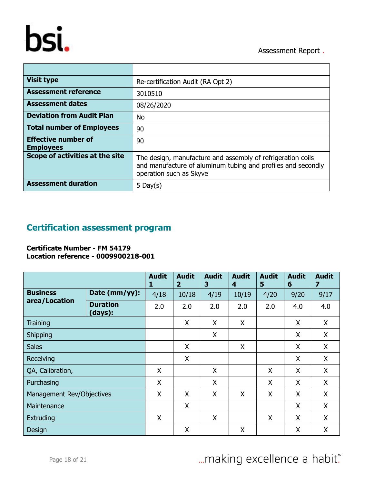# bsi.

Assessment Report .

| <b>Visit type</b>                              | Re-certification Audit (RA Opt 2)                                                                                                                      |
|------------------------------------------------|--------------------------------------------------------------------------------------------------------------------------------------------------------|
| <b>Assessment reference</b>                    | 3010510                                                                                                                                                |
| <b>Assessment dates</b>                        | 08/26/2020                                                                                                                                             |
| <b>Deviation from Audit Plan</b>               | No                                                                                                                                                     |
| <b>Total number of Employees</b>               | 90                                                                                                                                                     |
| <b>Effective number of</b><br><b>Employees</b> | 90                                                                                                                                                     |
| Scope of activities at the site                | The design, manufacture and assembly of refrigeration coils<br>and manufacture of aluminum tubing and profiles and secondly<br>operation such as Skyve |
| <b>Assessment duration</b>                     | 5 Day $(s)$                                                                                                                                            |

#### **Certification assessment program**

**Certificate Number - FM 54179 Location reference - 0009900218-001**

|                                  |                            | <b>Audit</b><br>1 | <b>Audit</b><br>$\overline{2}$ | <b>Audit</b><br>3 | <b>Audit</b><br>4 | <b>Audit</b><br>5 | <b>Audit</b><br>6 | <b>Audit</b><br>7 |
|----------------------------------|----------------------------|-------------------|--------------------------------|-------------------|-------------------|-------------------|-------------------|-------------------|
| <b>Business</b><br>area/Location | Date (mm/yy):              | 4/18              | 10/18                          | 4/19              | 10/19             | 4/20              | 9/20              | 9/17              |
|                                  | <b>Duration</b><br>(days): | 2.0               | 2.0                            | 2.0               | 2.0               | 2.0               | 4.0               | 4.0               |
| Training                         |                            |                   | X                              | X                 | X                 |                   | X                 | X                 |
| Shipping                         |                            |                   |                                | X                 |                   |                   | X                 | X                 |
| <b>Sales</b>                     |                            |                   | X                              |                   | X                 |                   | X                 | X                 |
| Receiving                        |                            |                   | X                              |                   |                   |                   | X                 | X                 |
| QA, Calibration,                 |                            | X                 |                                | X                 |                   | X                 | X                 | X                 |
| Purchasing                       |                            | X                 |                                | X                 |                   | X                 | X                 | X                 |
| Management Rev/Objectives        |                            | X                 | X                              | X                 | X                 | X                 | X                 | X                 |
| Maintenance                      |                            |                   | X                              |                   |                   |                   | X                 | X                 |
| Extruding                        |                            | X                 |                                | X                 |                   | X                 | X                 | X                 |
| Design                           |                            |                   | Χ                              |                   | X                 |                   | X                 | X                 |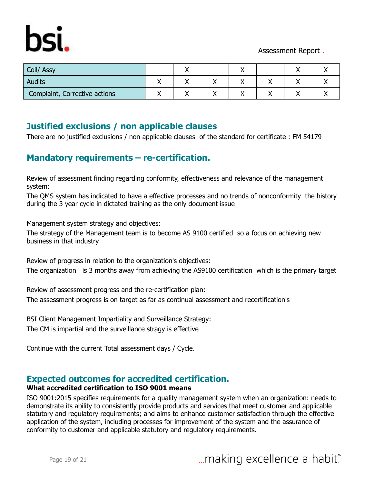

| Coil/ Assy                    |  |  |    |  |
|-------------------------------|--|--|----|--|
| <b>Audits</b>                 |  |  | ,, |  |
| Complaint, Corrective actions |  |  |    |  |

#### **Justified exclusions / non applicable clauses**

There are no justified exclusions / non applicable clauses of the standard for certificate : FM 54179

#### **Mandatory requirements – re-certification.**

Review of assessment finding regarding conformity, effectiveness and relevance of the management system:

The QMS system has indicated to have a effective processes and no trends of nonconformity the history during the 3 year cycle in dictated training as the only document issue

Management system strategy and objectives:

The strategy of the Management team is to become AS 9100 certified so a focus on achieving new business in that industry

Review of progress in relation to the organization's objectives: The organization is 3 months away from achieving the AS9100 certification which is the primary target

Review of assessment progress and the re-certification plan: The assessment progress is on target as far as continual assessment and recertification's

BSI Client Management Impartiality and Surveillance Strategy: The CM is impartial and the surveillance stragy is effective

Continue with the current Total assessment days / Cycle.

#### **Expected outcomes for accredited certification.**

#### **What accredited certification to ISO 9001 means**

ISO 9001:2015 specifies requirements for a quality management system when an organization: needs to demonstrate its ability to consistently provide products and services that meet customer and applicable statutory and regulatory requirements; and aims to enhance customer satisfaction through the effective application of the system, including processes for improvement of the system and the assurance of conformity to customer and applicable statutory and regulatory requirements.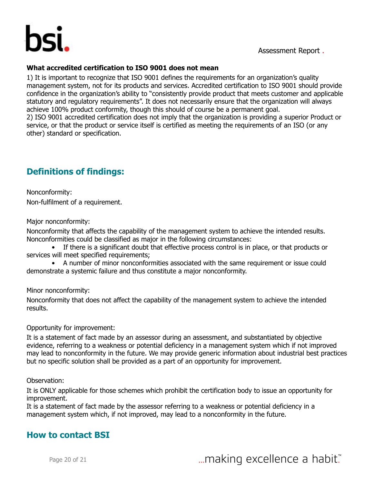

#### **What accredited certification to ISO 9001 does not mean**

1) It is important to recognize that ISO 9001 defines the requirements for an organization's quality management system, not for its products and services. Accredited certification to ISO 9001 should provide confidence in the organization's ability to "consistently provide product that meets customer and applicable statutory and regulatory requirements". It does not necessarily ensure that the organization will always achieve 100% product conformity, though this should of course be a permanent goal.

2) ISO 9001 accredited certification does not imply that the organization is providing a superior Product or service, or that the product or service itself is certified as meeting the requirements of an ISO (or any other) standard or specification.

#### **Definitions of findings:**

Nonconformity: Non-fulfilment of a requirement.

Major nonconformity:

Nonconformity that affects the capability of the management system to achieve the intended results. Nonconformities could be classified as major in the following circumstances:

• If there is a significant doubt that effective process control is in place, or that products or services will meet specified requirements;

• A number of minor nonconformities associated with the same requirement or issue could demonstrate a systemic failure and thus constitute a major nonconformity.

Minor nonconformity:

Nonconformity that does not affect the capability of the management system to achieve the intended results.

Opportunity for improvement:

It is a statement of fact made by an assessor during an assessment, and substantiated by objective evidence, referring to a weakness or potential deficiency in a management system which if not improved may lead to nonconformity in the future. We may provide generic information about industrial best practices but no specific solution shall be provided as a part of an opportunity for improvement.

Observation:

It is ONLY applicable for those schemes which prohibit the certification body to issue an opportunity for improvement.

It is a statement of fact made by the assessor referring to a weakness or potential deficiency in a management system which, if not improved, may lead to a nonconformity in the future.

#### **How to contact BSI**